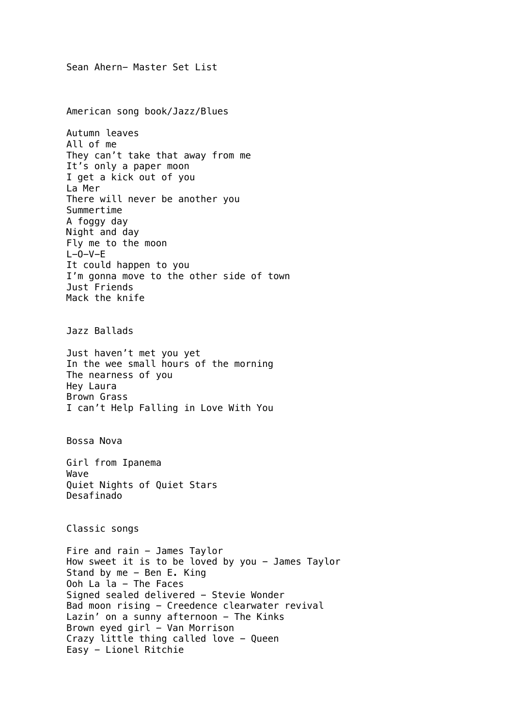Sean Ahern- Master Set List American song book/Jazz/Blues Autumn leaves All of me They can't take that away from me It's only a paper moon I get a kick out of you La Mer There will never be another you Summertime A foggy day Night and day Fly me to the moon  $L-0-V-E$ It could happen to you I'm gonna move to the other side of town Just Friends Mack the knife Jazz Ballads Just haven't met you yet In the wee small hours of the morning The nearness of you Hey Laura Brown Grass I can't Help Falling in Love With You Bossa Nova Girl from Ipanema Wave Quiet Nights of Quiet Stars Desafinado Classic songs Fire and rain - James Taylor How sweet it is to be loved by you - James Taylor Stand by me - Ben E. King Ooh La la - The Faces Signed sealed delivered - Stevie Wonder Bad moon rising - Creedence clearwater revival Lazin' on a sunny afternoon - The Kinks Brown eyed girl - Van Morrison Crazy little thing called love - Queen Easy - Lionel Ritchie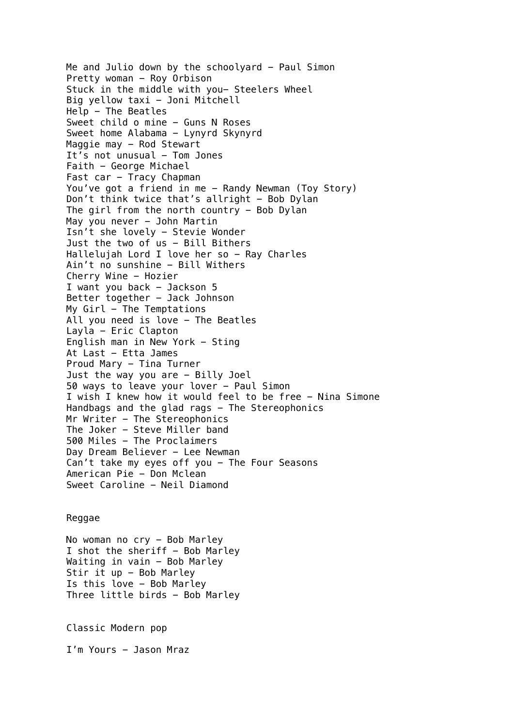Me and Julio down by the schoolyard  $-$  Paul Simon Pretty woman - Roy Orbison Stuck in the middle with you- Steelers Wheel Big yellow taxi - Joni Mitchell Help - The Beatles Sweet child o mine - Guns N Roses Sweet home Alabama - Lynyrd Skynyrd Maggie may - Rod Stewart It's not unusual - Tom Jones Faith - George Michael Fast car - Tracy Chapman You've got a friend in me - Randy Newman (Toy Story) Don't think twice that's allright - Bob Dylan The girl from the north country - Bob Dylan May you never - John Martin Isn't she lovely - Stevie Wonder Just the two of us - Bill Bithers Hallelujah Lord I love her so - Ray Charles Ain't no sunshine - Bill Withers Cherry Wine - Hozier I want you back - Jackson 5 Better together - Jack Johnson My  $Girl$  - The Temptations All you need is love - The Beatles Layla - Eric Clapton English man in New York - Sting At Last - Etta James Proud Mary - Tina Turner Just the way you are - Billy Joel 50 ways to leave your lover - Paul Simon I wish I knew how it would feel to be free - Nina Simone Handbags and the glad rags - The Stereophonics Mr Writer - The Stereophonics The Joker - Steve Miller band 500 Miles - The Proclaimers Day Dream Believer - Lee Newman Can't take my eyes off you - The Four Seasons American Pie - Don Mclean Sweet Caroline - Neil Diamond

## Reggae

No woman no cry - Bob Marley I shot the sheriff  $-$  Bob Marley Waiting in vain - Bob Marley Stir it up - Bob Marley Is this love - Bob Marley Three little birds - Bob Marley

Classic Modern pop

I'm Yours - Jason Mraz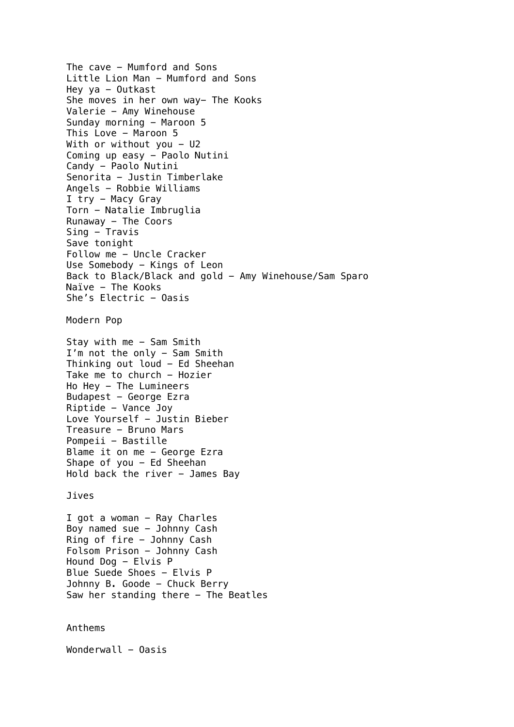The cave - Mumford and Sons Little Lion Man - Mumford and Sons Hey ya  $-$  Outkast She moves in her own way- The Kooks Valerie - Amy Winehouse Sunday morning - Maroon 5 This Love - Maroon 5 With or without you  $-$  U2 Coming up easy - Paolo Nutini Candy - Paolo Nutini Senorita - Justin Timberlake Angels - Robbie Williams I try - Macy Gray Torn - Natalie Imbruglia Runaway  $-$  The Coors Sing - Travis Save tonight Follow me - Uncle Cracker Use Somebody - Kings of Leon Back to Black/Black and gold - Amy Winehouse/Sam Sparo Naïve - The Kooks She's Electric  $-$  Oasis Modern Pop Stay with me  $-$  Sam Smith I'm not the only - Sam Smith Thinking out loud - Ed Sheehan Take me to church - Hozier Ho Hey - The Lumineers Budapest - George Ezra Riptide - Vance Joy Love Yourself - Justin Bieber Treasure - Bruno Mars Pompeii - Bastille Blame it on me - George Ezra Shape of you  $-$  Ed Sheehan Hold back the river  $-$  James Bay Jives I got a woman - Ray Charles Boy named sue - Johnny Cash Ring of fire - Johnny Cash Folsom Prison - Johnny Cash Hound Dog - Elvis P Blue Suede Shoes - Elvis P Johnny B. Goode - Chuck Berry Saw her standing there - The Beatles

Anthems

 $W$ onderwall - Oasis